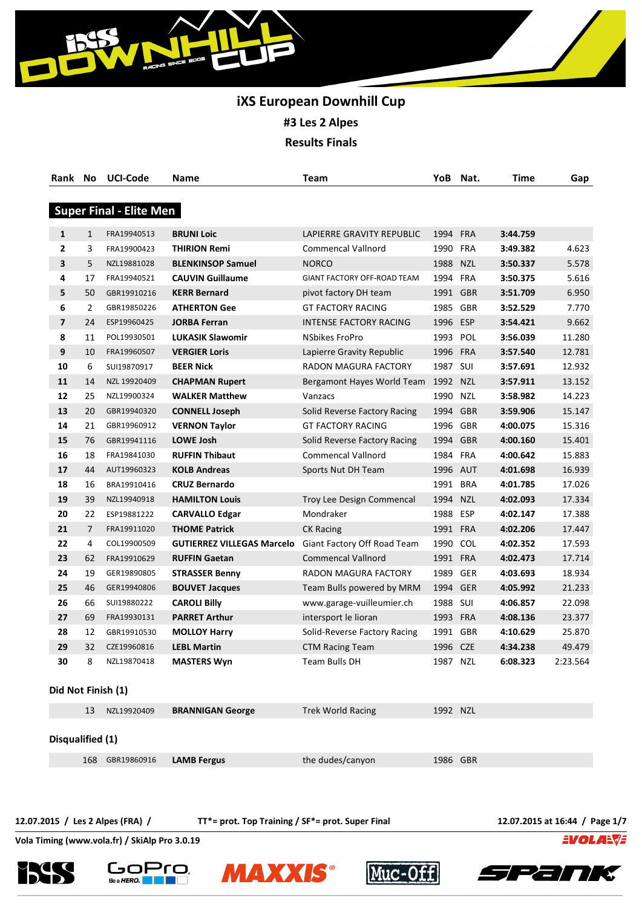

# **iXS European Downhill Cup #3 Les 2 Alpes**

**Results Finals**

| Rank No            |                | <b>UCI-Code</b>                | Name                              | Team                         |          | YoB Nat. | <b>Time</b> | Gap      |
|--------------------|----------------|--------------------------------|-----------------------------------|------------------------------|----------|----------|-------------|----------|
|                    |                |                                |                                   |                              |          |          |             |          |
|                    |                | <b>Super Final - Elite Men</b> |                                   |                              |          |          |             |          |
| 1                  | $\mathbf{1}$   | FRA19940513                    | <b>BRUNI Loic</b>                 | LAPIERRE GRAVITY REPUBLIC    | 1994 FRA |          | 3:44.759    |          |
| 2                  | 3              | FRA19900423                    | <b>THIRION Remi</b>               | <b>Commencal Vallnord</b>    | 1990 FRA |          | 3:49.382    | 4.623    |
| 3                  | 5              | NZL19881028                    | <b>BLENKINSOP Samuel</b>          | <b>NORCO</b>                 | 1988 NZL |          | 3:50.337    | 5.578    |
| 4                  | 17             | FRA19940521                    | <b>CAUVIN Guillaume</b>           | GIANT FACTORY OFF-ROAD TEAM  | 1994 FRA |          | 3:50.375    | 5.616    |
| 5                  | 50             | GBR19910216                    | <b>KERR Bernard</b>               | pivot factory DH team        | 1991 GBR |          | 3:51.709    | 6.950    |
| 6                  | 2              | GBR19850226                    | <b>ATHERTON Gee</b>               | <b>GT FACTORY RACING</b>     | 1985 GBR |          | 3:52.529    | 7.770    |
| 7                  | 24             | ESP19960425                    | <b>JORBA Ferran</b>               | INTENSE FACTORY RACING       | 1996 ESP |          | 3:54.421    | 9.662    |
| 8                  | 11             | POL19930501                    | <b>LUKASIK Slawomir</b>           | <b>NSbikes FroPro</b>        | 1993 POL |          | 3:56.039    | 11.280   |
| 9                  | 10             | FRA19960507                    | <b>VERGIER Loris</b>              | Lapierre Gravity Republic    | 1996 FRA |          | 3:57.540    | 12.781   |
| 10                 | 6              | SUI19870917                    | <b>BEER Nick</b>                  | RADON MAGURA FACTORY         | 1987 SUI |          | 3:57.691    | 12.932   |
| 11                 | 14             | NZL 19920409                   | <b>CHAPMAN Rupert</b>             | Bergamont Hayes World Team   | 1992 NZL |          | 3:57.911    | 13.152   |
| 12                 | 25             | NZL19900324                    | <b>WALKER Matthew</b>             | Vanzacs                      | 1990 NZL |          | 3:58.982    | 14.223   |
| 13                 | 20             | GBR19940320                    | <b>CONNELL Joseph</b>             | Solid Reverse Factory Racing | 1994 GBR |          | 3:59.906    | 15.147   |
| 14                 | 21             | GBR19960912                    | <b>VERNON Taylor</b>              | <b>GT FACTORY RACING</b>     | 1996 GBR |          | 4:00.075    | 15.316   |
| 15                 | 76             | GBR19941116                    | <b>LOWE Josh</b>                  | Solid Reverse Factory Racing | 1994 GBR |          | 4:00.160    | 15.401   |
| 16                 | 18             | FRA19841030                    | <b>RUFFIN Thibaut</b>             | Commencal Vallnord           | 1984 FRA |          | 4:00.642    | 15.883   |
| 17                 | 44             | AUT19960323                    | <b>KOLB Andreas</b>               | Sports Nut DH Team           | 1996 AUT |          | 4:01.698    | 16.939   |
| 18                 | 16             | BRA19910416                    | <b>CRUZ Bernardo</b>              |                              | 1991 BRA |          | 4:01.785    | 17.026   |
| 19                 | 39             | NZL19940918                    | <b>HAMILTON Louis</b>             | Troy Lee Design Commencal    | 1994 NZL |          | 4:02.093    | 17.334   |
| 20                 | 22             | ESP19881222                    | <b>CARVALLO Edgar</b>             | Mondraker                    | 1988 ESP |          | 4:02.147    | 17.388   |
| 21                 | $\overline{7}$ | FRA19911020                    | <b>THOME Patrick</b>              | <b>CK Racing</b>             | 1991 FRA |          | 4:02.206    | 17.447   |
| 22                 | 4              | COL19900509                    | <b>GUTIERREZ VILLEGAS Marcelo</b> | Giant Factory Off Road Team  | 1990 COL |          | 4:02.352    | 17.593   |
| 23                 | 62             | FRA19910629                    | <b>RUFFIN Gaetan</b>              | <b>Commencal Vallnord</b>    | 1991 FRA |          | 4:02.473    | 17.714   |
| 24                 | 19             | GER19890805                    | <b>STRASSER Benny</b>             | RADON MAGURA FACTORY         | 1989 GER |          | 4:03.693    | 18.934   |
| 25                 | 46             | GER19940806                    | <b>BOUVET Jacques</b>             | Team Bulls powered by MRM    | 1994 GER |          | 4:05.992    | 21.233   |
| 26                 | 66             | SUI19880222                    | <b>CAROLI Billy</b>               | www.garage-vuilleumier.ch    | 1988 SUI |          | 4:06.857    | 22.098   |
| 27                 | 69             | FRA19930131                    | <b>PARRET Arthur</b>              | intersport le lioran         | 1993 FRA |          | 4:08.136    | 23.377   |
| 28                 | 12             | GBR19910530                    | <b>MOLLOY Harry</b>               | Solid-Reverse Factory Racing | 1991     | GBR      | 4:10.629    | 25.870   |
| 29                 | 32             | CZE19960816                    | <b>LEBL Martin</b>                | <b>CTM Racing Team</b>       | 1996 CZE |          | 4:34.238    | 49.479   |
| 30                 | 8              | NZL19870418                    | <b>MASTERS Wyn</b>                | Team Bulls DH                | 1987 NZL |          | 6:08.323    | 2:23.564 |
| Did Not Finish (1) |                |                                |                                   |                              |          |          |             |          |
|                    | 13             | NZL19920409                    | <b>BRANNIGAN George</b>           | <b>Trek World Racing</b>     | 1992 NZL |          |             |          |
|                    |                |                                |                                   |                              |          |          |             |          |
| Disqualified (1)   |                |                                |                                   |                              |          |          |             |          |
|                    | 168            | GBR19860916                    | <b>LAMB Fergus</b>                | the dudes/canyon             | 1986 GBR |          |             |          |
|                    |                |                                |                                   |                              |          |          |             |          |

**12.07.2015 / Les 2 Alpes (FRA) / TT\*= prot. Top Training / SF\*= prot. Super Final 12.07.2015 at 16:44 / Page 1/7**

EVOLANE









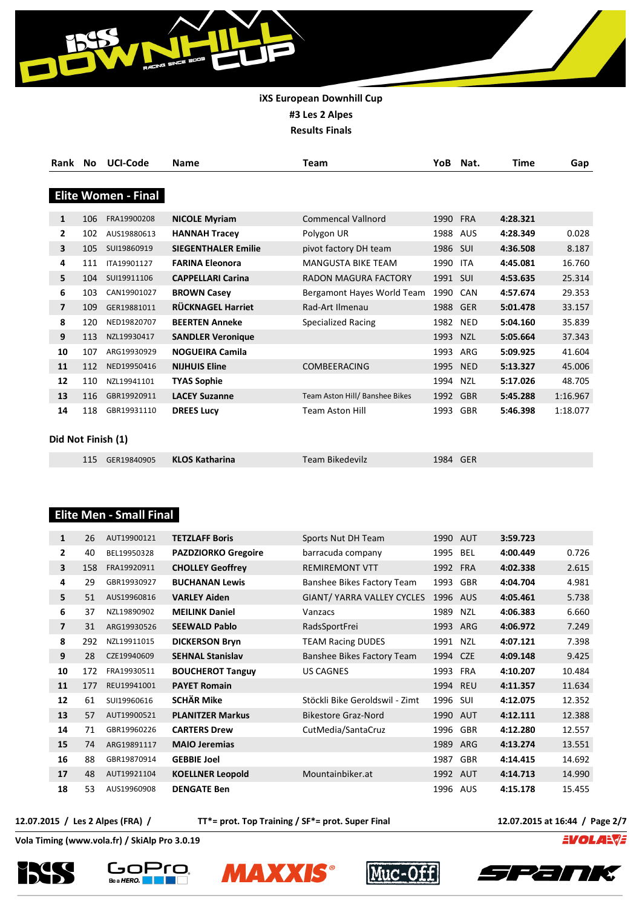

| Rank               | No  | <b>UCI-Code</b>            | <b>Name</b>                | Team                           | YoB      | Nat.       | Time     | Gap      |
|--------------------|-----|----------------------------|----------------------------|--------------------------------|----------|------------|----------|----------|
|                    |     |                            |                            |                                |          |            |          |          |
|                    |     | <b>Elite Women - Final</b> |                            |                                |          |            |          |          |
| 1                  | 106 | FRA19900208                | <b>NICOLE Myriam</b>       | <b>Commencal Vallnord</b>      | 1990     | <b>FRA</b> | 4:28.321 |          |
| 2                  | 102 | AUS19880613                | <b>HANNAH Tracey</b>       | Polygon UR                     | 1988 AUS |            | 4:28.349 | 0.028    |
| 3                  | 105 | SUI19860919                | <b>SIEGENTHALER Emilie</b> | pivot factory DH team          | 1986     | SUI        | 4:36.508 | 8.187    |
| 4                  | 111 | ITA19901127                | <b>FARINA Eleonora</b>     | <b>MANGUSTA BIKE TEAM</b>      | 1990     | <b>ITA</b> | 4:45.081 | 16.760   |
| 5                  | 104 | SUI19911106                | <b>CAPPELLARI Carina</b>   | RADON MAGURA FACTORY           | 1991 SUI |            | 4:53.635 | 25.314   |
| 6                  | 103 | CAN19901027                | <b>BROWN Casey</b>         | Bergamont Hayes World Team     | 1990     | CAN        | 4:57.674 | 29.353   |
| $\overline{7}$     | 109 | GER19881011                | <b>RÜCKNAGEL Harriet</b>   | Rad-Art Ilmenau                | 1988     | <b>GER</b> | 5:01.478 | 33.157   |
| 8                  | 120 | NED19820707                | <b>BEERTEN Anneke</b>      | Specialized Racing             | 1982     | <b>NED</b> | 5:04.160 | 35.839   |
| 9                  | 113 | NZL19930417                | <b>SANDLER Veronique</b>   |                                | 1993     | <b>NZL</b> | 5:05.664 | 37.343   |
| 10                 | 107 | ARG19930929                | <b>NOGUEIRA Camila</b>     |                                | 1993     | ARG        | 5:09.925 | 41.604   |
| 11                 | 112 | NED19950416                | <b>NIJHUIS Eline</b>       | <b>COMBEERACING</b>            | 1995     | <b>NED</b> | 5:13.327 | 45.006   |
| 12                 | 110 | NZL19941101                | <b>TYAS Sophie</b>         |                                | 1994     | <b>NZL</b> | 5:17.026 | 48.705   |
| 13                 | 116 | GBR19920911                | <b>LACEY Suzanne</b>       | Team Aston Hill/ Banshee Bikes | 1992     | <b>GBR</b> | 5:45.288 | 1:16.967 |
| 14                 | 118 | GBR19931110                | <b>DREES Lucy</b>          | <b>Team Aston Hill</b>         | 1993     | <b>GBR</b> | 5:46.398 | 1:18.077 |
|                    |     |                            |                            |                                |          |            |          |          |
| Did Not Finish (1) |     |                            |                            |                                |          |            |          |          |

| 115 GER19840905 KLOS Katharina | Team Bikedevilz | 1984 GER |  |
|--------------------------------|-----------------|----------|--|
|--------------------------------|-----------------|----------|--|

## **Elite Men - Small Final**

| 1                       | 26  | AUT19900121 | <b>TETZLAFF Boris</b>      | Sports Nut DH Team             | 1990 AUT |            | 3:59.723 |        |
|-------------------------|-----|-------------|----------------------------|--------------------------------|----------|------------|----------|--------|
| $\overline{2}$          | 40  | BEL19950328 | <b>PAZDZIORKO Gregoire</b> | barracuda company              | 1995     | BEL        | 4:00.449 | 0.726  |
| $\overline{\mathbf{3}}$ | 158 | FRA19920911 | <b>CHOLLEY Geoffrey</b>    | <b>REMIREMONT VTT</b>          | 1992 FRA |            | 4:02.338 | 2.615  |
| 4                       | 29  | GBR19930927 | <b>BUCHANAN Lewis</b>      | Banshee Bikes Factory Team     | 1993     | <b>GBR</b> | 4:04.704 | 4.981  |
| 5                       | 51  | AUS19960816 | <b>VARLEY Aiden</b>        | GIANT/ YARRA VALLEY CYCLES     | 1996     | AUS        | 4:05.461 | 5.738  |
| 6                       | 37  | NZL19890902 | <b>MEILINK Daniel</b>      | Vanzacs                        | 1989     | <b>NZL</b> | 4:06.383 | 6.660  |
| $\overline{7}$          | 31  | ARG19930526 | <b>SEEWALD Pablo</b>       | RadsSportFrei                  | 1993 ARG |            | 4:06.972 | 7.249  |
| 8                       | 292 | NZL19911015 | <b>DICKERSON Bryn</b>      | <b>TEAM Racing DUDES</b>       | 1991     | NZL        | 4:07.121 | 7.398  |
| 9                       | 28  | CZE19940609 | <b>SEHNAL Stanislav</b>    | Banshee Bikes Factory Team     | 1994     | <b>CZE</b> | 4:09.148 | 9.425  |
| 10                      | 172 | FRA19930511 | <b>BOUCHEROT Tanguy</b>    | <b>US CAGNES</b>               | 1993     | <b>FRA</b> | 4:10.207 | 10.484 |
| 11                      | 177 | REU19941001 | <b>PAYET Romain</b>        |                                | 1994 REU |            | 4:11.357 | 11.634 |
| 12                      | 61  | SUI19960616 | <b>SCHÄR Mike</b>          | Stöckli Bike Geroldswil - Zimt | 1996     | SUI        | 4:12.075 | 12.352 |
| 13                      | 57  | AUT19900521 | <b>PLANITZER Markus</b>    | Bikestore Graz-Nord            | 1990 AUT |            | 4:12.111 | 12.388 |
| 14                      | 71  | GBR19960226 | <b>CARTERS Drew</b>        | CutMedia/SantaCruz             | 1996     | <b>GBR</b> | 4:12.280 | 12.557 |
| 15                      | 74  | ARG19891117 | <b>MAIO Jeremias</b>       |                                | 1989     | ARG        | 4:13.274 | 13.551 |
| 16                      | 88  | GBR19870914 | <b>GEBBIE Joel</b>         |                                | 1987     | <b>GBR</b> | 4:14.415 | 14.692 |
| 17                      | 48  | AUT19921104 | <b>KOELLNER Leopold</b>    | Mountainbiker.at               | 1992     | AUT        | 4:14.713 | 14.990 |
| 18                      | 53  | AUS19960908 | <b>DENGATE Ben</b>         |                                | 1996     | AUS        | 4:15.178 | 15.455 |

**12.07.2015 / Les 2 Alpes (FRA) / TT\*= prot. Top Training / SF\*= prot. Super Final 12.07.2015 at 16:44 / Page 2/7**

**EVOLANTE** 









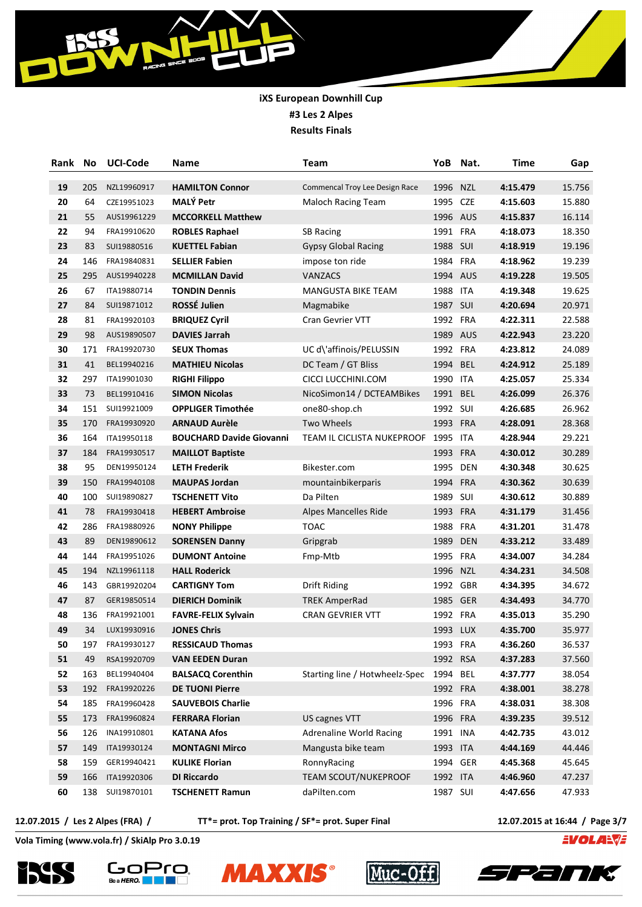| Rank | No  | <b>UCI-Code</b> | Name                            | Team                           | YoB      | Nat.       | <b>Time</b> | Gap    |
|------|-----|-----------------|---------------------------------|--------------------------------|----------|------------|-------------|--------|
| 19   | 205 | NZL19960917     | <b>HAMILTON Connor</b>          | Commencal Troy Lee Design Race | 1996     | <b>NZL</b> | 4:15.479    | 15.756 |
| 20   | 64  | CZE19951023     | <b>MALÝ Petr</b>                | Maloch Racing Team             | 1995 CZE |            | 4:15.603    | 15.880 |
| 21   | 55  | AUS19961229     | <b>MCCORKELL Matthew</b>        |                                | 1996 AUS |            | 4:15.837    | 16.114 |
| 22   | 94  | FRA19910620     | <b>ROBLES Raphael</b>           | <b>SB Racing</b>               | 1991 FRA |            | 4:18.073    | 18.350 |
| 23   | 83  | SUI19880516     | <b>KUETTEL Fabian</b>           | <b>Gypsy Global Racing</b>     | 1988 SUI |            | 4:18.919    | 19.196 |
| 24   | 146 | FRA19840831     | <b>SELLIER Fabien</b>           | impose ton ride                | 1984 FRA |            | 4:18.962    | 19.239 |
| 25   | 295 | AUS19940228     | <b>MCMILLAN David</b>           | VANZACS                        | 1994 AUS |            | 4:19.228    | 19.505 |
| 26   | 67  | ITA19880714     | <b>TONDIN Dennis</b>            | <b>MANGUSTA BIKE TEAM</b>      | 1988 ITA |            | 4:19.348    | 19.625 |
| 27   | 84  | SUI19871012     | ROSSÉ Julien                    | Magmabike                      | 1987 SUI |            | 4:20.694    | 20.971 |
| 28   | 81  | FRA19920103     | <b>BRIQUEZ Cyril</b>            | <b>Cran Gevrier VTT</b>        | 1992 FRA |            | 4:22.311    | 22.588 |
| 29   | 98  | AUS19890507     | <b>DAVIES Jarrah</b>            |                                | 1989 AUS |            | 4:22.943    | 23.220 |
| 30   | 171 | FRA19920730     | <b>SEUX Thomas</b>              | UC d\'affinois/PELUSSIN        | 1992 FRA |            | 4:23.812    | 24.089 |
| 31   | 41  | BEL19940216     | <b>MATHIEU Nicolas</b>          | DC Team / GT Bliss             | 1994 BEL |            | 4:24.912    | 25.189 |
| 32   | 297 | ITA19901030     | <b>RIGHI Filippo</b>            | CICCI LUCCHINI.COM             | 1990 ITA |            | 4:25.057    | 25.334 |
| 33   | 73  | BEL19910416     | <b>SIMON Nicolas</b>            | NicoSimon14 / DCTEAMBikes      | 1991 BEL |            | 4:26.099    | 26.376 |
| 34   | 151 | SUI19921009     | <b>OPPLIGER Timothée</b>        | one80-shop.ch                  | 1992     | SUI        | 4:26.685    | 26.962 |
| 35   | 170 | FRA19930920     | <b>ARNAUD Aurèle</b>            | Two Wheels                     | 1993 FRA |            | 4:28.091    | 28.368 |
| 36   | 164 | ITA19950118     | <b>BOUCHARD Davide Giovanni</b> | TEAM IL CICLISTA NUKEPROOF     | 1995 ITA |            | 4:28.944    | 29.221 |
| 37   | 184 | FRA19930517     | <b>MAILLOT Baptiste</b>         |                                | 1993 FRA |            | 4:30.012    | 30.289 |
| 38   | 95  | DEN19950124     | <b>LETH Frederik</b>            | Bikester.com                   |          | 1995 DEN   | 4:30.348    | 30.625 |
| 39   | 150 | FRA19940108     | <b>MAUPAS Jordan</b>            | mountainbikerparis             | 1994 FRA |            | 4:30.362    | 30.639 |
| 40   | 100 | SUI19890827     | <b>TSCHENETT Vito</b>           | Da Pilten                      | 1989 SUI |            | 4:30.612    | 30.889 |
| 41   | 78  | FRA19930418     | <b>HEBERT Ambroise</b>          | Alpes Mancelles Ride           | 1993 FRA |            | 4:31.179    | 31.456 |
| 42   | 286 | FRA19880926     | <b>NONY Philippe</b>            | TOAC                           | 1988 FRA |            | 4:31.201    | 31.478 |
| 43   | 89  | DEN19890612     | <b>SORENSEN Danny</b>           | Gripgrab                       | 1989     | <b>DEN</b> | 4:33.212    | 33.489 |
| 44   | 144 | FRA19951026     | <b>DUMONT Antoine</b>           | Fmp-Mtb                        | 1995 FRA |            | 4:34.007    | 34.284 |
| 45   | 194 | NZL19961118     | <b>HALL Roderick</b>            |                                | 1996     | <b>NZL</b> | 4:34.231    | 34.508 |
| 46   | 143 | GBR19920204     | <b>CARTIGNY Tom</b>             | Drift Riding                   | 1992     | GBR        | 4:34.395    | 34.672 |
| 47   | 87  | GER19850514     | <b>DIERICH Dominik</b>          | <b>TREK AmperRad</b>           | 1985 GER |            | 4:34.493    | 34.770 |
| 48   | 136 | FRA19921001     | <b>FAVRE-FELIX Sylvain</b>      | <b>CRAN GEVRIER VTT</b>        | 1992     | <b>FRA</b> | 4:35.013    | 35.290 |
| 49   | 34  | LUX19930916     | <b>JONES Chris</b>              |                                | 1993 LUX |            | 4:35.700    | 35.977 |
| 50   | 197 | FRA19930127     | <b>RESSICAUD Thomas</b>         |                                | 1993 FRA |            | 4:36.260    | 36.537 |
| 51   | 49  | RSA19920709     | <b>VAN EEDEN Duran</b>          |                                | 1992 RSA |            | 4:37.283    | 37.560 |
| 52   | 163 | BEL19940404     | <b>BALSACQ Corenthin</b>        | Starting line / Hotwheelz-Spec | 1994 BEL |            | 4:37.777    | 38.054 |
| 53   | 192 | FRA19920226     | <b>DE TUONI Pierre</b>          |                                | 1992 FRA |            | 4:38.001    | 38.278 |
| 54   | 185 | FRA19960428     | <b>SAUVEBOIS Charlie</b>        |                                | 1996 FRA |            | 4:38.031    | 38.308 |
| 55   | 173 | FRA19960824     | <b>FERRARA Florian</b>          | US cagnes VTT                  | 1996 FRA |            | 4:39.235    | 39.512 |
| 56   | 126 | INA19910801     | <b>KATANA Afos</b>              | Adrenaline World Racing        | 1991 INA |            | 4:42.735    | 43.012 |
| 57   | 149 | ITA19930124     | <b>MONTAGNI Mirco</b>           | Mangusta bike team             | 1993 ITA |            | 4:44.169    | 44.446 |
| 58   | 159 | GER19940421     | <b>KULIKE Florian</b>           | RonnyRacing                    | 1994 GER |            | 4:45.368    | 45.645 |
| 59   | 166 | ITA19920306     | <b>DI Riccardo</b>              | <b>TEAM SCOUT/NUKEPROOF</b>    | 1992 ITA |            | 4:46.960    | 47.237 |
| 60   |     | 138 SUI19870101 | <b>TSCHENETT Ramun</b>          | daPilten.com                   | 1987 SUI |            | 4:47.656    | 47.933 |

BSS

**12.07.2015 / Les 2 Alpes (FRA) / TT\*= prot. Top Training / SF\*= prot. Super Final 12.07.2015 at 16:44 / Page 3/7**

**EVOLANTE** 









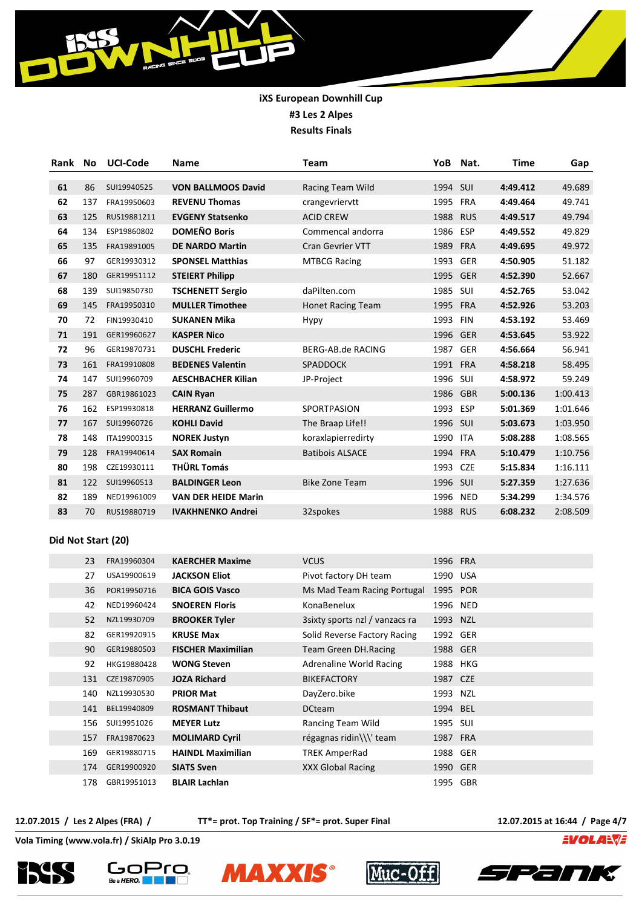| Rank | <b>No</b> | <b>UCI-Code</b> | <b>Name</b>                | Team                     | YoB      | Nat.       | Time     | Gap      |
|------|-----------|-----------------|----------------------------|--------------------------|----------|------------|----------|----------|
|      |           |                 |                            |                          |          |            |          |          |
| 61   | 86        | SUI19940525     | <b>VON BALLMOOS David</b>  | Racing Team Wild         | 1994 SUI |            | 4:49.412 | 49.689   |
| 62   | 137       | FRA19950603     | <b>REVENU Thomas</b>       | crangevriervtt           | 1995     | <b>FRA</b> | 4:49.464 | 49.741   |
| 63   | 125       | RUS19881211     | <b>EVGENY Statsenko</b>    | <b>ACID CREW</b>         | 1988     | <b>RUS</b> | 4:49.517 | 49.794   |
| 64   | 134       | ESP19860802     | <b>DOMEÑO Boris</b>        | Commencal andorra        | 1986 ESP |            | 4:49.552 | 49.829   |
| 65   | 135       | FRA19891005     | <b>DE NARDO Martin</b>     | <b>Cran Gevrier VTT</b>  | 1989     | <b>FRA</b> | 4:49.695 | 49.972   |
| 66   | 97        | GER19930312     | <b>SPONSEL Matthias</b>    | <b>MTBCG Racing</b>      | 1993     | <b>GER</b> | 4:50.905 | 51.182   |
| 67   | 180       | GER19951112     | <b>STEIERT Philipp</b>     |                          | 1995     | <b>GER</b> | 4:52.390 | 52.667   |
| 68   | 139       | SUI19850730     | <b>TSCHENETT Sergio</b>    | daPilten.com             | 1985     | <b>SUI</b> | 4:52.765 | 53.042   |
| 69   | 145       | FRA19950310     | <b>MULLER Timothee</b>     | <b>Honet Racing Team</b> | 1995     | <b>FRA</b> | 4:52.926 | 53.203   |
| 70   | 72        | FIN19930410     | <b>SUKANEN Mika</b>        | Hypy                     | 1993     | <b>FIN</b> | 4:53.192 | 53.469   |
| 71   | 191       | GER19960627     | <b>KASPER Nico</b>         |                          | 1996     | <b>GER</b> | 4:53.645 | 53.922   |
| 72   | 96        | GER19870731     | <b>DUSCHL Frederic</b>     | BERG-AB.de RACING        | 1987     | <b>GER</b> | 4:56.664 | 56.941   |
| 73   | 161       | FRA19910808     | <b>BEDENES Valentin</b>    | <b>SPADDOCK</b>          | 1991     | <b>FRA</b> | 4:58.218 | 58.495   |
| 74   | 147       | SUI19960709     | <b>AESCHBACHER Kilian</b>  | JP-Project               | 1996     | SUI        | 4:58.972 | 59.249   |
| 75   | 287       | GBR19861023     | <b>CAIN Ryan</b>           |                          | 1986     | <b>GBR</b> | 5:00.136 | 1:00.413 |
| 76   | 162       | ESP19930818     | <b>HERRANZ Guillermo</b>   | <b>SPORTPASION</b>       | 1993     | ESP        | 5:01.369 | 1:01.646 |
| 77   | 167       | SUI19960726     | <b>KOHLI David</b>         | The Braap Life!!         | 1996     | SUI        | 5:03.673 | 1:03.950 |
| 78   | 148       | ITA19900315     | <b>NOREK Justyn</b>        | koraxlapierredirty       | 1990     | <b>ITA</b> | 5:08.288 | 1:08.565 |
| 79   | 128       | FRA19940614     | <b>SAX Romain</b>          | <b>Batibois ALSACE</b>   | 1994     | <b>FRA</b> | 5:10.479 | 1:10.756 |
| 80   | 198       | CZE19930111     | <b>THÜRL Tomás</b>         |                          | 1993     | <b>CZE</b> | 5:15.834 | 1:16.111 |
| 81   | 122       | SUI19960513     | <b>BALDINGER Leon</b>      | <b>Bike Zone Team</b>    | 1996     | SUI        | 5:27.359 | 1:27.636 |
| 82   | 189       | NED19961009     | <b>VAN DER HEIDE Marin</b> |                          | 1996     | <b>NED</b> | 5:34.299 | 1:34.576 |
| 83   | 70        | RUS19880719     | <b>IVAKHNENKO Andrei</b>   | 32spokes                 | 1988     | <b>RUS</b> | 6:08.232 | 2:08.509 |
|      |           |                 |                            |                          |          |            |          |          |

#### **Did Not Start (20)**

| 23  | FRA19960304 | <b>KAERCHER Maxime</b>    | <b>VCUS</b>                     | 1996 FRA |  |
|-----|-------------|---------------------------|---------------------------------|----------|--|
| 27  | USA19900619 | <b>JACKSON Eliot</b>      | Pivot factory DH team           | 1990 USA |  |
| 36  | POR19950716 | <b>BICA GOIS Vasco</b>    | Ms Mad Team Racing Portugal     | 1995 POR |  |
| 42  | NED19960424 | <b>SNOEREN Floris</b>     | KonaBenelux                     | 1996 NED |  |
| 52  | NZL19930709 | <b>BROOKER Tyler</b>      | 3 sixty sports nzl / vanzacs ra | 1993 NZL |  |
| 82  | GER19920915 | <b>KRUSE Max</b>          | Solid Reverse Factory Racing    | 1992 GER |  |
| 90  | GER19880503 | <b>FISCHER Maximilian</b> | Team Green DH.Racing            | 1988 GER |  |
| 92  | HKG19880428 | <b>WONG Steven</b>        | Adrenaline World Racing         | 1988 HKG |  |
| 131 | CZE19870905 | <b>JOZA Richard</b>       | <b>BIKEFACTORY</b>              | 1987 CZE |  |
| 140 | NZL19930530 | <b>PRIOR Mat</b>          | DayZero.bike                    | 1993 NZL |  |
| 141 | BEL19940809 | <b>ROSMANT Thibaut</b>    | <b>DCteam</b>                   | 1994 BEL |  |
| 156 | SUI19951026 | <b>MEYER Lutz</b>         | Rancing Team Wild               | 1995 SUI |  |
| 157 | FRA19870623 | <b>MOLIMARD Cyril</b>     | régagnas ridin\\\' team         | 1987 FRA |  |
| 169 | GER19880715 | <b>HAINDL Maximilian</b>  | TREK AmperRad                   | 1988 GER |  |
| 174 | GER19900920 | <b>SIATS Sven</b>         | XXX Global Racing               | 1990 GER |  |
| 178 | GBR19951013 | <b>BLAIR Lachlan</b>      |                                 | 1995 GBR |  |
|     |             |                           |                                 |          |  |

**12.07.2015 / Les 2 Alpes (FRA) / TT\*= prot. Top Training / SF\*= prot. Super Final 12.07.2015 at 16:44 / Page 4/7**

**EVOLANTE** 









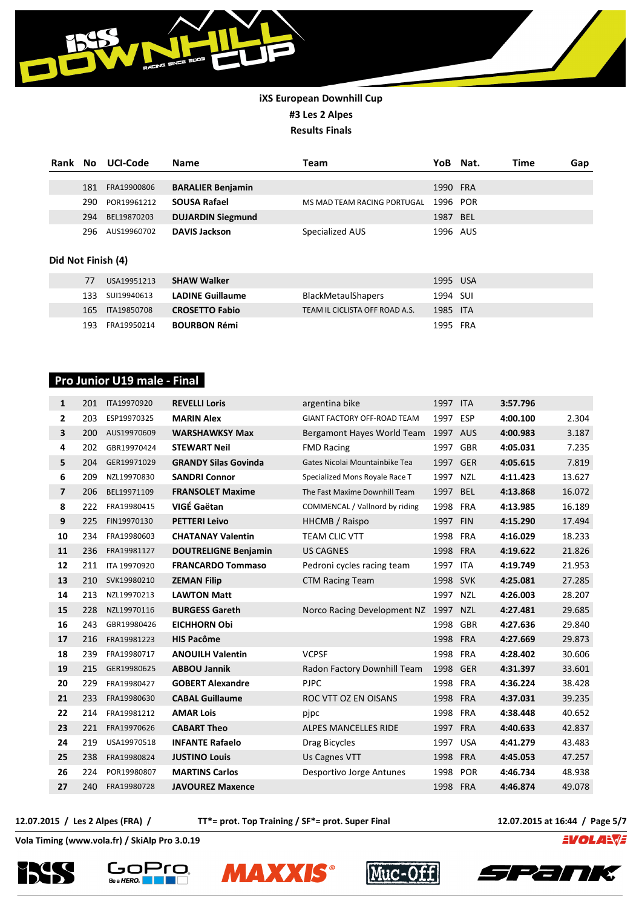

| Rank | No.  | UCI-Code    | <b>Name</b>              | Team                        | YoB      | Nat. | Time | Gap |
|------|------|-------------|--------------------------|-----------------------------|----------|------|------|-----|
|      | 181  | FRA19900806 | <b>BARALIER Benjamin</b> |                             | 1990 FRA |      |      |     |
|      | 290. | POR19961212 | <b>SOUSA Rafael</b>      | MS MAD TEAM RACING PORTUGAL | 1996 POR |      |      |     |
|      | 294  | BEL19870203 | <b>DUJARDIN Siegmund</b> |                             | 1987 BEL |      |      |     |
|      | 296. | AUS19960702 | <b>DAVIS Jackson</b>     | Specialized AUS             | 1996 AUS |      |      |     |

#### **Did Not Finish (4)**

| 77   | USA19951213     | <b>SHAW Walker</b>      |                                | 1995 USA |  |
|------|-----------------|-------------------------|--------------------------------|----------|--|
|      | 133 SUI19940613 | <b>LADINE Guillaume</b> | <b>BlackMetaulShapers</b>      | 1994 SUI |  |
|      | 165 ITA19850708 | <b>CROSETTO Fabio</b>   | TEAM IL CICLISTA OFF ROAD A.S. | 1985 ITA |  |
| 193. | FRA19950214     | <b>BOURBON Rémi</b>     |                                | 1995 FRA |  |

## **Pro Junior U19 male - Final**

| $\mathbf{1}$            | 201 | ITA19970920  | <b>REVELLI Loris</b>        | argentina bike                 | 1997 ITA |            | 3:57.796 |        |
|-------------------------|-----|--------------|-----------------------------|--------------------------------|----------|------------|----------|--------|
| 2                       | 203 | ESP19970325  | <b>MARIN Alex</b>           | GIANT FACTORY OFF-ROAD TEAM    | 1997 ESP |            | 4:00.100 | 2.304  |
| 3                       | 200 | AUS19970609  | <b>WARSHAWKSY Max</b>       | Bergamont Hayes World Team     | 1997 AUS |            | 4:00.983 | 3.187  |
| 4                       | 202 | GBR19970424  | <b>STEWART Neil</b>         | <b>FMD Racing</b>              | 1997 GBR |            | 4:05.031 | 7.235  |
| 5                       | 204 | GER19971029  | <b>GRANDY Silas Govinda</b> | Gates Nicolai Mountainbike Tea | 1997 GER |            | 4:05.615 | 7.819  |
| 6                       | 209 | NZL19970830  | <b>SANDRI Connor</b>        | Specialized Mons Royale Race T | 1997 NZL |            | 4:11.423 | 13.627 |
| $\overline{\mathbf{z}}$ | 206 | BEL19971109  | <b>FRANSOLET Maxime</b>     | The Fast Maxime Downhill Team  | 1997     | <b>BEL</b> | 4:13.868 | 16.072 |
| 8                       | 222 | FRA19980415  | VIGÉ Gaëtan                 | COMMENCAL / Vallnord by riding | 1998     | <b>FRA</b> | 4:13.985 | 16.189 |
| 9                       | 225 | FIN19970130  | <b>PETTERI Leivo</b>        | HHCMB / Raispo                 | 1997 FIN |            | 4:15.290 | 17.494 |
| 10                      | 234 | FRA19980603  | <b>CHATANAY Valentin</b>    | <b>TEAM CLIC VTT</b>           | 1998     | FRA        | 4:16.029 | 18.233 |
| 11                      | 236 | FRA19981127  | <b>DOUTRELIGNE Benjamin</b> | <b>US CAGNES</b>               | 1998 FRA |            | 4:19.622 | 21.826 |
| 12                      | 211 | ITA 19970920 | <b>FRANCARDO Tommaso</b>    | Pedroni cycles racing team     | 1997 ITA |            | 4:19.749 | 21.953 |
| 13                      | 210 | SVK19980210  | <b>ZEMAN Filip</b>          | <b>CTM Racing Team</b>         | 1998     | <b>SVK</b> | 4:25.081 | 27.285 |
| 14                      | 213 | NZL19970213  | <b>LAWTON Matt</b>          |                                | 1997 NZL |            | 4:26.003 | 28.207 |
| 15                      | 228 | NZL19970116  | <b>BURGESS Gareth</b>       | Norco Racing Development NZ    | 1997 NZL |            | 4:27.481 | 29.685 |
| 16                      | 243 | GBR19980426  | <b>EICHHORN Obi</b>         |                                | 1998 GBR |            | 4:27.636 | 29.840 |
| 17                      | 216 | FRA19981223  | <b>HIS Pacôme</b>           |                                | 1998     | <b>FRA</b> | 4:27.669 | 29.873 |
| 18                      | 239 | FRA19980717  | <b>ANOUILH Valentin</b>     | <b>VCPSF</b>                   | 1998     | <b>FRA</b> | 4:28.402 | 30.606 |
| 19                      | 215 | GER19980625  | <b>ABBOU Jannik</b>         | Radon Factory Downhill Team    | 1998     | <b>GER</b> | 4:31.397 | 33.601 |
| 20                      | 229 | FRA19980427  | <b>GOBERT Alexandre</b>     | <b>PJPC</b>                    | 1998 FRA |            | 4:36.224 | 38.428 |
| 21                      | 233 | FRA19980630  | <b>CABAL Guillaume</b>      | ROC VTT OZ EN OISANS           | 1998     | <b>FRA</b> | 4:37.031 | 39.235 |
| 22                      | 214 | FRA19981212  | <b>AMAR Lois</b>            | pjpc                           | 1998     | <b>FRA</b> | 4:38.448 | 40.652 |
| 23                      | 221 | FRA19970626  | <b>CABART Theo</b>          | ALPES MANCELLES RIDE           | 1997     | <b>FRA</b> | 4:40.633 | 42.837 |
| 24                      | 219 | USA19970518  | <b>INFANTE Rafaelo</b>      | Drag Bicycles                  | 1997 USA |            | 4:41.279 | 43.483 |
| 25                      | 238 | FRA19980824  | <b>JUSTINO Louis</b>        | Us Cagnes VTT                  | 1998     | <b>FRA</b> | 4:45.053 | 47.257 |
| 26                      | 224 | POR19980807  | <b>MARTINS Carlos</b>       | Desportivo Jorge Antunes       | 1998     | <b>POR</b> | 4:46.734 | 48.938 |
| 27                      | 240 | FRA19980728  | <b>JAVOUREZ Maxence</b>     |                                | 1998 FRA |            | 4:46.874 | 49.078 |

**12.07.2015 / Les 2 Alpes (FRA) / TT\*= prot. Top Training / SF\*= prot. Super Final 12.07.2015 at 16:44 / Page 5/7**

**EVOLARVE** 









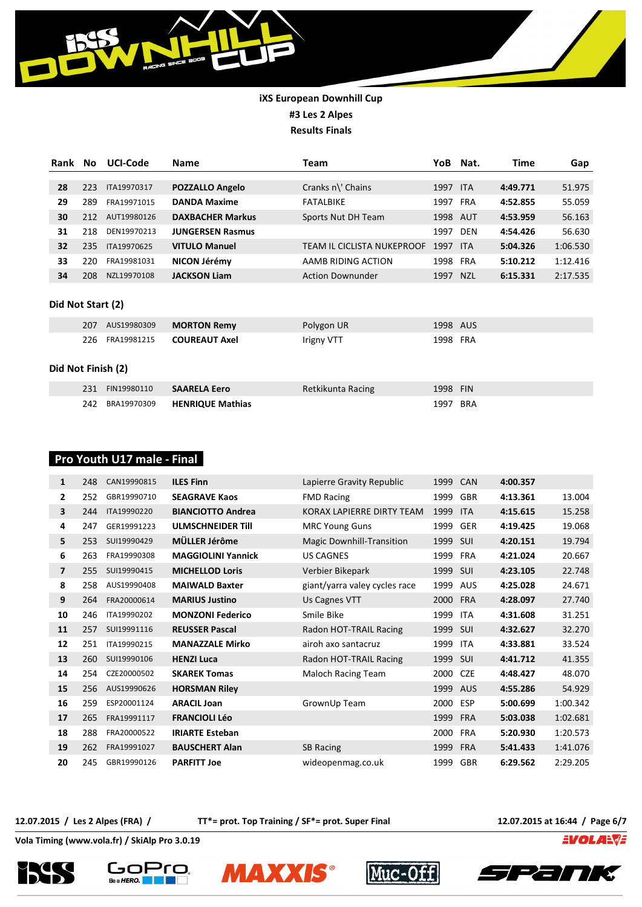

| Rank | No  | <b>UCI-Code</b> | <b>Name</b>             | Team                       | YoB      | Nat.       | Time     | Gap      |
|------|-----|-----------------|-------------------------|----------------------------|----------|------------|----------|----------|
|      |     |                 |                         |                            |          |            |          |          |
| 28   | 223 | ITA19970317     | <b>POZZALLO Angelo</b>  | Cranks n\' Chains          | 1997     | <b>ITA</b> | 4:49.771 | 51.975   |
| 29   | 289 | FRA19971015     | <b>DANDA Maxime</b>     | <b>FATALBIKE</b>           | 1997     | <b>FRA</b> | 4:52.855 | 55.059   |
| 30   | 212 | AUT19980126     | <b>DAXBACHER Markus</b> | Sports Nut DH Team         | 1998     | AUT        | 4:53.959 | 56.163   |
| 31   | 218 | DEN19970213     | <b>JUNGERSEN Rasmus</b> |                            | 1997     | <b>DEN</b> | 4:54.426 | 56.630   |
| 32   | 235 | ITA19970625     | <b>VITULO Manuel</b>    | TEAM IL CICLISTA NUKEPROOF | 1997     | <b>ITA</b> | 5:04.326 | 1:06.530 |
| 33   | 220 | FRA19981031     | NICON Jérémy            | AAMB RIDING ACTION         | 1998 FRA |            | 5:10.212 | 1:12.416 |
| 34   | 208 | NZL19970108     | <b>JACKSON Liam</b>     | <b>Action Downunder</b>    | 1997     | <b>NZL</b> | 6:15.331 | 2:17.535 |
|      |     |                 |                         |                            |          |            |          |          |

#### **Did Not Start (2)**

| 207 AUS19980309 | <b>MORTON Remy</b>                   | Polygon UR | 1998 AUS |
|-----------------|--------------------------------------|------------|----------|
|                 | 226 FRA19981215 <b>COUREAUT Axel</b> | Irigny VTT | 1998 FRA |

#### **Did Not Finish (2)**

| 231 FIN19980110 | <b>SAARELA Eero</b>              | Retkikunta Racing | 1998 FIN |  |
|-----------------|----------------------------------|-------------------|----------|--|
|                 | 242 BRA19970309 HENRIQUE Mathias |                   | 1997 BRA |  |

## **Pro Youth U17 male - Final**

| 1                       | 248 | CAN19990815 | <b>ILES Finn</b>          | Lapierre Gravity Republic        | 1999     | <b>CAN</b> | 4:00.357 |          |
|-------------------------|-----|-------------|---------------------------|----------------------------------|----------|------------|----------|----------|
| 2                       | 252 | GBR19990710 | <b>SEAGRAVE Kaos</b>      | <b>FMD Racing</b>                | 1999     | <b>GBR</b> | 4:13.361 | 13.004   |
| 3                       | 244 | ITA19990220 | <b>BIANCIOTTO Andrea</b>  | KORAX LAPIERRE DIRTY TEAM        | 1999     | <b>ITA</b> | 4:15.615 | 15.258   |
| 4                       | 247 | GER19991223 | <b>ULMSCHNEIDER TIII</b>  | <b>MRC Young Guns</b>            | 1999     | <b>GER</b> | 4:19.425 | 19.068   |
| 5                       | 253 | SUI19990429 | MÜLLER Jérôme             | <b>Magic Downhill-Transition</b> | 1999     | SUI        | 4:20.151 | 19.794   |
| 6                       | 263 | FRA19990308 | <b>MAGGIOLINI Yannick</b> | <b>US CAGNES</b>                 | 1999     | <b>FRA</b> | 4:21.024 | 20.667   |
| $\overline{\mathbf{z}}$ | 255 | SUI19990415 | <b>MICHELLOD Loris</b>    | Verbier Bikepark                 | 1999 SUI |            | 4:23.105 | 22.748   |
| 8                       | 258 | AUS19990408 | <b>MAIWALD Baxter</b>     | giant/yarra valey cycles race    | 1999     | <b>AUS</b> | 4:25.028 | 24.671   |
| 9                       | 264 | FRA20000614 | <b>MARIUS Justino</b>     | Us Cagnes VTT                    | 2000     | <b>FRA</b> | 4:28.097 | 27.740   |
| 10                      | 246 | ITA19990202 | <b>MONZONI Federico</b>   | Smile Bike                       | 1999     | <b>ITA</b> | 4:31.608 | 31.251   |
| 11                      | 257 | SUI19991116 | <b>REUSSER Pascal</b>     | Radon HOT-TRAIL Racing           | 1999     | <b>SUI</b> | 4:32.627 | 32.270   |
| 12                      | 251 | ITA19990215 | <b>MANAZZALE Mirko</b>    | airoh axo santacruz              | 1999     | <b>ITA</b> | 4:33.881 | 33.524   |
| 13                      | 260 | SUI19990106 | <b>HENZI Luca</b>         | Radon HOT-TRAIL Racing           | 1999     | SUI        | 4:41.712 | 41.355   |
| 14                      | 254 | CZE20000502 | <b>SKAREK Tomas</b>       | Maloch Racing Team               | 2000     | <b>CZE</b> | 4:48.427 | 48.070   |
| 15                      | 256 | AUS19990626 | <b>HORSMAN Riley</b>      |                                  | 1999 AUS |            | 4:55.286 | 54.929   |
| 16                      | 259 | ESP20001124 | <b>ARACIL Joan</b>        | GrownUp Team                     | 2000     | <b>ESP</b> | 5:00.699 | 1:00.342 |
| 17                      | 265 | FRA19991117 | <b>FRANCIOLI Léo</b>      |                                  | 1999     | <b>FRA</b> | 5:03.038 | 1:02.681 |
| 18                      | 288 | FRA20000522 | <b>IRIARTE Esteban</b>    |                                  | 2000     | <b>FRA</b> | 5:20.930 | 1:20.573 |
| 19                      | 262 | FRA19991027 | <b>BAUSCHERT Alan</b>     | <b>SB Racing</b>                 | 1999     | <b>FRA</b> | 5:41.433 | 1:41.076 |
| 20                      | 245 | GBR19990126 | <b>PARFITT Joe</b>        | wideopenmag.co.uk                | 1999     | GBR        | 6:29.562 | 2:29.205 |

**12.07.2015 / Les 2 Alpes (FRA) / TT\*= prot. Top Training / SF\*= prot. Super Final 12.07.2015 at 16:44 / Page 6/7**

**EVOLANTE**